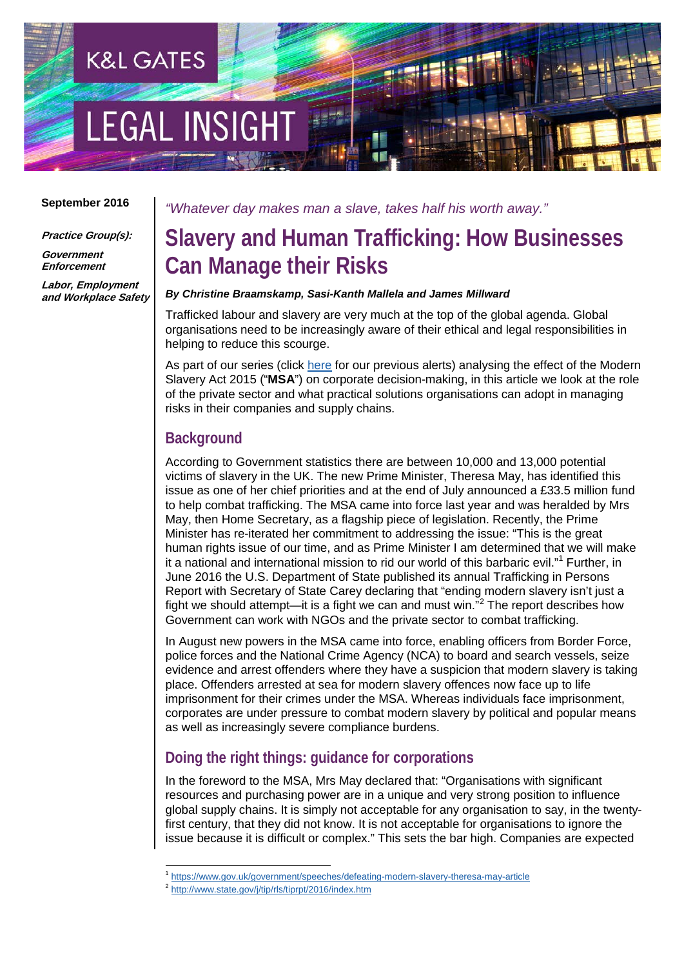# **LEGAL INSIGH**

**K&L GATES** 

#### **September 2016**

**Practice Group(s):**

**Government Enforcement**

**Labor, Employment and Workplace Safety** *"Whatever day makes man a slave, takes half his worth away."*

# **Slavery and Human Trafficking: How Businesses Can Manage their Risks**

#### *By Christine Braamskamp, Sasi-Kanth Mallela and James Millward*

Trafficked labour and slavery are very much at the top of the global agenda. Global organisations need to be increasingly aware of their ethical and legal responsibilities in helping to reduce this scourge.

As part of our series (click [here](http://www.klgates.com/modern-slavery-act-how-to-comply-with-the-corporate-provision-10-30-2015/) for our previous alerts) analysing the effect of the Modern Slavery Act 2015 ("**MSA**") on corporate decision-making, in this article we look at the role of the private sector and what practical solutions organisations can adopt in managing risks in their companies and supply chains.

## **Background**

According to Government statistics there are between 10,000 and 13,000 potential victims of slavery in the UK. The new Prime Minister, Theresa May, has identified this issue as one of her chief priorities and at the end of July announced a £33.5 million fund to help combat trafficking. The MSA came into force last year and was heralded by Mrs May, then Home Secretary, as a flagship piece of legislation. Recently, the Prime Minister has re-iterated her commitment to addressing the issue: "This is the great human rights issue of our time, and as Prime Minister I am determined that we will make it a national and international mission to rid our world of this barbaric evil."<sup>[1](#page-0-0)</sup> Further, in June 2016 the U.S. Department of State published its annual Trafficking in Persons Report with Secretary of State Carey declaring that "ending modern slavery isn't just a fight we should attempt—it is a fight we can and must win.<sup>7[2](#page-0-1)</sup> The report describes how Government can work with NGOs and the private sector to combat trafficking.

In August new powers in the MSA came into force, enabling officers from Border Force, police forces and the National Crime Agency (NCA) to board and search vessels, seize evidence and arrest offenders where they have a suspicion that modern slavery is taking place. Offenders arrested at sea for modern slavery offences now face up to life imprisonment for their crimes under the MSA. Whereas individuals face imprisonment, corporates are under pressure to combat modern slavery by political and popular means as well as increasingly severe compliance burdens.

## **Doing the right things: guidance for corporations**

In the foreword to the MSA, Mrs May declared that: "Organisations with significant resources and purchasing power are in a unique and very strong position to influence global supply chains. It is simply not acceptable for any organisation to say, in the twentyfirst century, that they did not know. It is not acceptable for organisations to ignore the issue because it is difficult or complex." This sets the bar high. Companies are expected

<sup>&</sup>lt;sup>1</sup> <https://www.gov.uk/government/speeches/defeating-modern-slavery-theresa-may-article>

<span id="page-0-1"></span><span id="page-0-0"></span><sup>2</sup> <http://www.state.gov/j/tip/rls/tiprpt/2016/index.htm>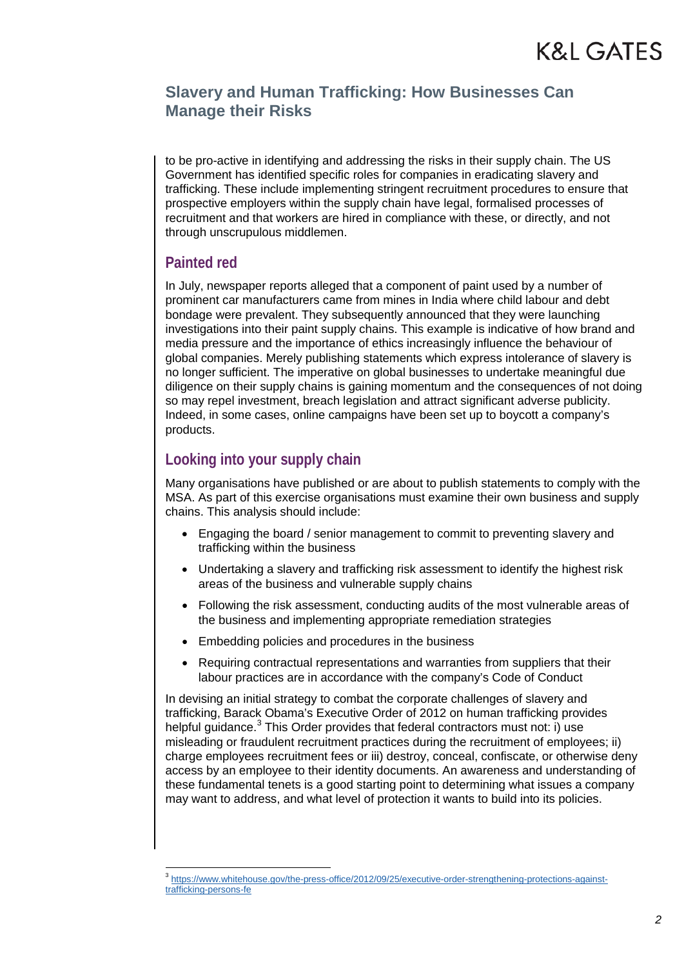## **Slavery and Human Trafficking: How Businesses Can Manage their Risks**

to be pro-active in identifying and addressing the risks in their supply chain. The US Government has identified specific roles for companies in eradicating slavery and trafficking. These include implementing stringent recruitment procedures to ensure that prospective employers within the supply chain have legal, formalised processes of recruitment and that workers are hired in compliance with these, or directly, and not through unscrupulous middlemen.

## **Painted red**

In July, newspaper reports alleged that a component of paint used by a number of prominent car manufacturers came from mines in India where child labour and debt bondage were prevalent. They subsequently announced that they were launching investigations into their paint supply chains. This example is indicative of how brand and media pressure and the importance of ethics increasingly influence the behaviour of global companies. Merely publishing statements which express intolerance of slavery is no longer sufficient. The imperative on global businesses to undertake meaningful due diligence on their supply chains is gaining momentum and the consequences of not doing so may repel investment, breach legislation and attract significant adverse publicity. Indeed, in some cases, online campaigns have been set up to boycott a company's products.

## **Looking into your supply chain**

Many organisations have published or are about to publish statements to comply with the MSA. As part of this exercise organisations must examine their own business and supply chains. This analysis should include:

- Engaging the board / senior management to commit to preventing slavery and trafficking within the business
- Undertaking a slavery and trafficking risk assessment to identify the highest risk areas of the business and vulnerable supply chains
- Following the risk assessment, conducting audits of the most vulnerable areas of the business and implementing appropriate remediation strategies
- Embedding policies and procedures in the business
- Requiring contractual representations and warranties from suppliers that their labour practices are in accordance with the company's Code of Conduct

In devising an initial strategy to combat the corporate challenges of slavery and trafficking, Barack Obama's Executive Order of 2012 on human trafficking provides helpful quidance. $3$  This Order provides that federal contractors must not: i) use misleading or fraudulent recruitment practices during the recruitment of employees; ii) charge employees recruitment fees or iii) destroy, conceal, confiscate, or otherwise deny access by an employee to their identity documents. An awareness and understanding of these fundamental tenets is a good starting point to determining what issues a company may want to address, and what level of protection it wants to build into its policies.

<span id="page-1-0"></span><sup>3</sup> [https://www.whitehouse.gov/the-press-office/2012/09/25/executive-order-strengthening-protections-against](https://www.whitehouse.gov/the-press-office/2012/09/25/executive-order-strengthening-protections-against-trafficking-persons-fe)[trafficking-persons-fe](https://www.whitehouse.gov/the-press-office/2012/09/25/executive-order-strengthening-protections-against-trafficking-persons-fe)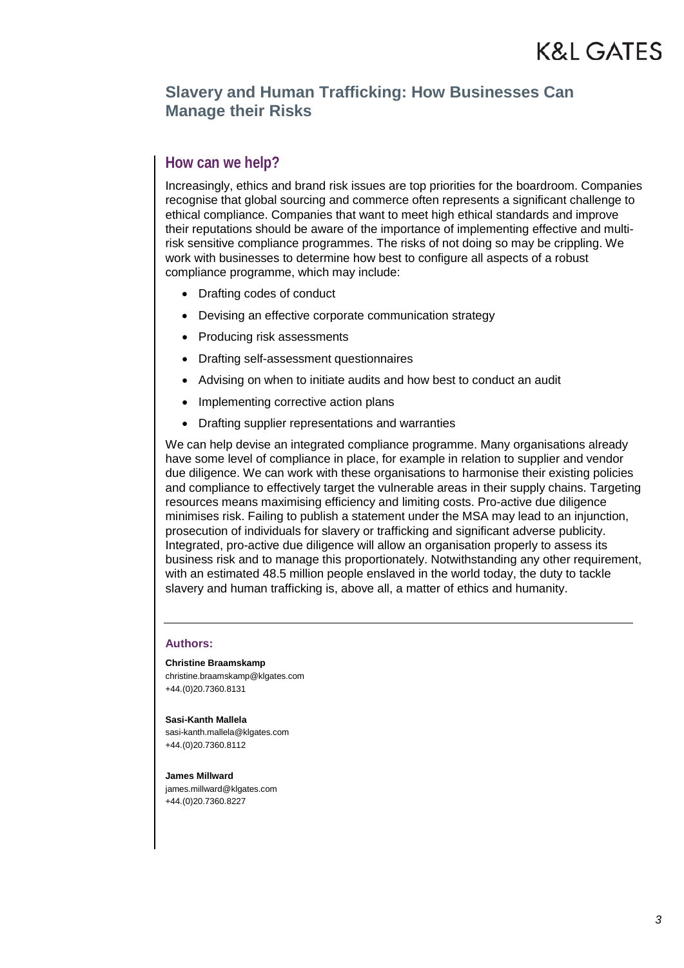### **Slavery and Human Trafficking: How Businesses Can Manage their Risks**

#### **How can we help?**

Increasingly, ethics and brand risk issues are top priorities for the boardroom. Companies recognise that global sourcing and commerce often represents a significant challenge to ethical compliance. Companies that want to meet high ethical standards and improve their reputations should be aware of the importance of implementing effective and multirisk sensitive compliance programmes. The risks of not doing so may be crippling. We work with businesses to determine how best to configure all aspects of a robust compliance programme, which may include:

- Drafting codes of conduct
- Devising an effective corporate communication strategy
- Producing risk assessments
- Drafting self-assessment questionnaires
- Advising on when to initiate audits and how best to conduct an audit
- Implementing corrective action plans
- Drafting supplier representations and warranties

We can help devise an integrated compliance programme. Many organisations already have some level of compliance in place, for example in relation to supplier and vendor due diligence. We can work with these organisations to harmonise their existing policies and compliance to effectively target the vulnerable areas in their supply chains. Targeting resources means maximising efficiency and limiting costs. Pro-active due diligence minimises risk. Failing to publish a statement under the MSA may lead to an injunction, prosecution of individuals for slavery or trafficking and significant adverse publicity. Integrated, pro-active due diligence will allow an organisation properly to assess its business risk and to manage this proportionately. Notwithstanding any other requirement, with an estimated 48.5 million people enslaved in the world today, the duty to tackle slavery and human trafficking is, above all, a matter of ethics and humanity.

#### **Authors:**

**Christine Braamskamp** christine.braamskamp@klgates.com +44.(0)20.7360.8131

**Sasi-Kanth Mallela** sasi-kanth.mallela@klgates.com +44.(0)20.7360.8112

**James Millward** james.millward@klgates.com +44.(0)20.7360.8227